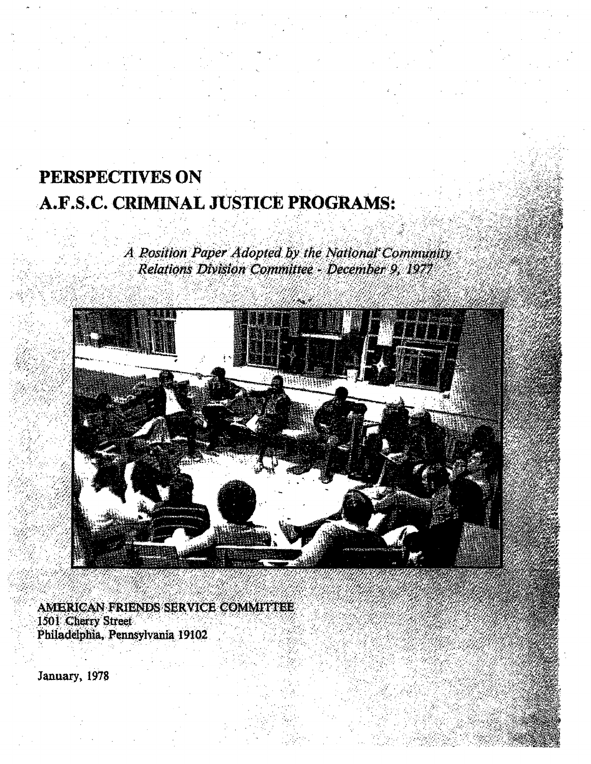## PERSPECTIVES ON .·A.F.S.C. CRIMINAL JUSTICE PROGRAMS:  $\mathcal{L} \subset \mathcal{L}$  $\cdot$  .

A Position Paper Adopted by the National Community Relations Division Committee - December 9, 1977



*.* · *...* :.··

. / .. ·. ... \_.· ...:-.~ ~-- ·:. :

.... ·

' .

AMERICAN FRIENDS SERVICE COMMITTEE 1501 Cherry Street Philadelphia, Pennsylvania 19102.

. *:* ... \_.·

January, 1978

*:* ·. *:\_·* 

. -': *.*   $\sim$  .

 $\mathbb{R}^{2n}$ 

 $\mathbb{Z}/\mathbb{Z}^n$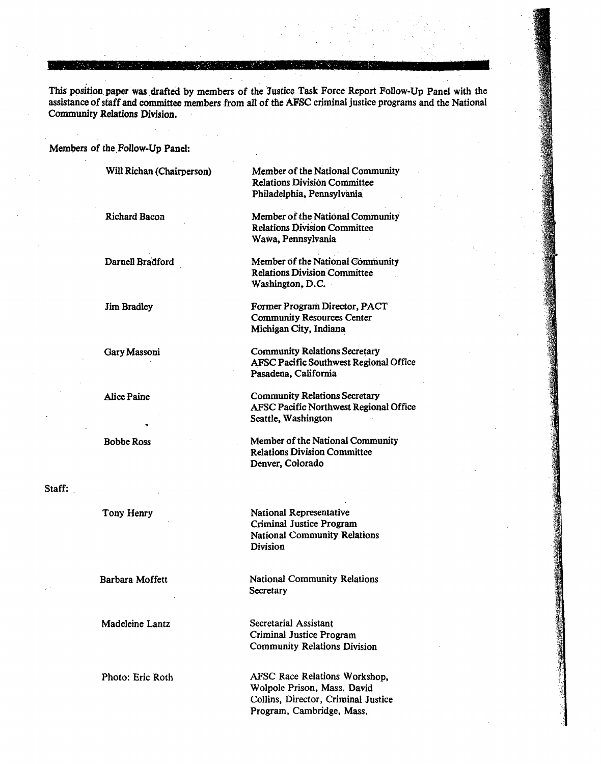This position paper was drafted by members of the Justice Task Force Report Follow-Up Panel with the assistance of staff and committee members from all of the AFSC criminal justice programs and the National Community Relations Division.

-~ . ·.· . ... ~ ..... ~ . . ~ *-.:* . *:* . ·.- . . . ..... ,.. . .. . . . . . ""': . . . - ..

Members of the Follow-Up Panel:

Will Richan (Chairperson)

Richard Bacon

Darnell Bradford

Jim Bradley

Gary Massoni

Alice Paine

BobbeRoss

Staff:

Tony Henry

Barbara Moffett

Madeleine Lantz

Photo: Eric Roth

Member of the National Community Relations Division Committee Philadelphia, Pennsylvania

Member of the National Community Relations Division Committee Wawa, Pennsylvania

Member of the National Community Relations Division Committee Washington, D.C.

Former Program Director, PACT Community Resources Center Michigan City, Indiana

Community Relations Secretary AFSC Pacific Southwest Regional Office Pasadena, California

Community Relations Secretary AFSC Pacific Northwest Regional Office Seattle, Washington

Member of the National Community Relations Division Committee Denver, Colorado

National Representative Criminal Justice Program National Community Relations Division

National Community Relations **Secretary** 

Secretarial Assistant Criminal Justice Program Community Relations Division

AFSC Race Relations Workshop, Walpole Prison, Mass. David Collins, Director, Criminal Justice Program, Cambridge, Mass.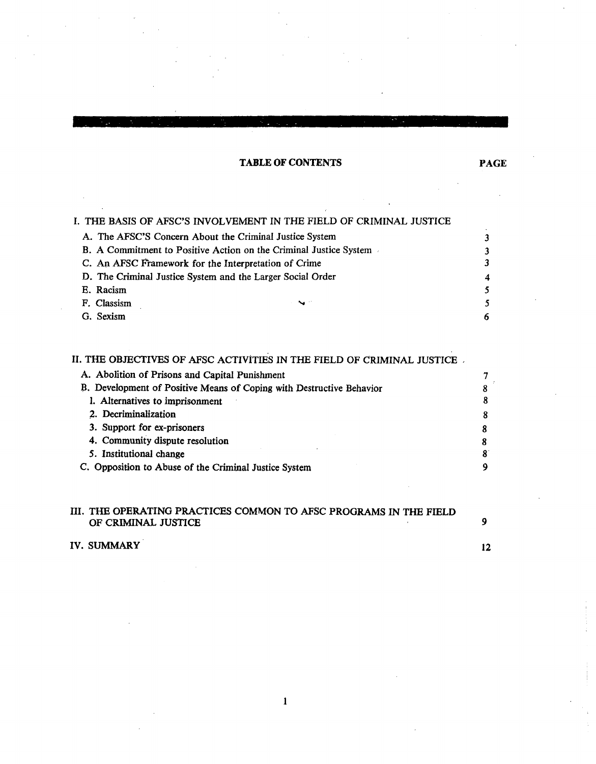## TABLE OF CONTENTS

|                                                                   | I. THE BASIS OF AFSC'S INVOLVEMENT IN THE FIELD OF CRIMINAL JUSTICE |    |
|-------------------------------------------------------------------|---------------------------------------------------------------------|----|
|                                                                   | A. The AFSC'S Concern About the Criminal Justice System             |    |
| B. A Commitment to Positive Action on the Criminal Justice System |                                                                     | 3  |
| C. An AFSC Framework for the Interpretation of Crime              |                                                                     |    |
| D. The Criminal Justice System and the Larger Social Order        |                                                                     | 4  |
| E. Racism                                                         |                                                                     |    |
| F. Classism                                                       | $\sim$                                                              | 5. |
| G. Sexism                                                         |                                                                     | 6  |

## II. THE OBJECTIVES OF AFSC ACTIVITIES IN THE FIELD OF CRIMINAL JUSTICE ,

| A. Abolition of Prisons and Capital Punishment                       |  |
|----------------------------------------------------------------------|--|
| B. Development of Positive Means of Coping with Destructive Behavior |  |
| I. Alternatives to imprisonment                                      |  |
| 2. Decriminalization                                                 |  |
| 3. Support for ex-prisoners                                          |  |
| 4. Community dispute resolution                                      |  |
| 5. Institutional change                                              |  |
| C. Opposition to Abuse of the Criminal Justice System                |  |

### III. THE OPERATING PRACTICES COMMON TO AFSC PROGRAMS IN THE FIELD OF CRIMINAL JUSTICE 9

1

## IV. SUMMARY 12

PAGE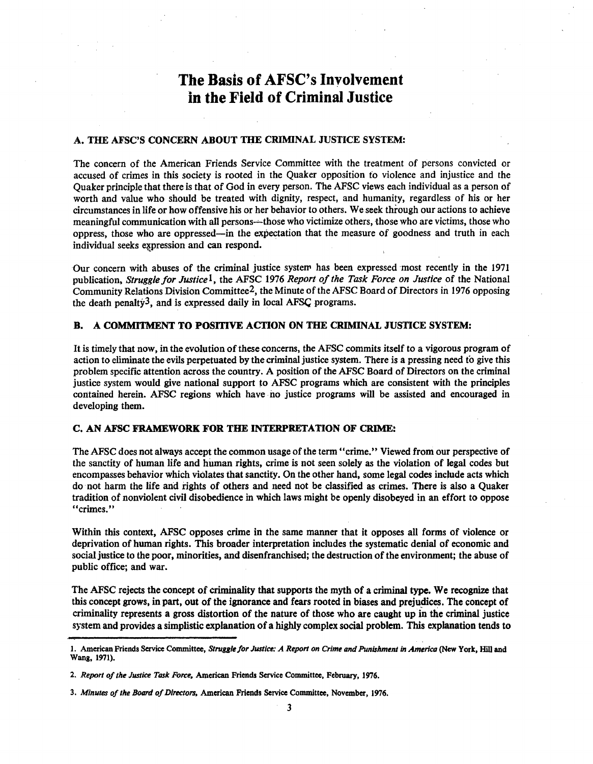# The Basis of AFSC's Involvement in the Field of Criminal Justice

### A. THE AFSC'S CONCERN ABOUT THE CRIMINAL JUSTICE SYSTEM:

The concern of the American Friends Service Committee with the treatment of persons convicted or accused of crimes in this society is rooted in the Quaker opposition fo violence and injustice and the Quaker principle that there is that of God in every person. The AFSC views each individual as a person of worth and value who should be treated with dignity, respect, and humanity, regardless of his or her circumstances in life or how offensive his or her behavior to others. We seek through our actions to achieve meaningful communication with all persons-'-those who victimize others, those who are victims, those who oppress, those who are oppressed-in the expectation that the measure of goodness and truth in each individual seeks expression and can respond.

Our concern with abuses of the criminal justice systew has been expressed most recently in the 1971 publication, *Struggle for Justice1,* the AFSC 1976 *Report of the Task Force on Justice* of the National Community Relations Division Committee2, the Minute of the AFSC Board of Directors in 1976 opposing the death penalty<sup>3</sup>, and is expressed daily in local AFS $\mathcal Q$  programs.

#### B. A COMMITMENT TO POSITIVE ACTION ON THE CRIMINAL JUSTICE SYSTEM:

It is timely that now, in the evolution of these concerns, the AFSC commits itself to a vigorous program of action to eliminate the evils perpetuated by the criminal justice system. There is a pressing need to give this problem specific attention across the country. A position of the AFSC Board of Directors on the criminal justice system would give national support to AFSC programs which are consistent with the principles contained herein. AFSC regions which have no justice programs will be assisted and encouraged in developing them.

### C. AN AFSC FRAMEWORK FOR THE INTERPRETATION OF CRIME:

The AFSC does not always accept the common usage of the term "crime." Viewed from our perspective of the sanctity of human life and human rights, crime is not seen solely as the violation of legal codes but encompasses behavior which violates that sanctity. On the other hand, some legal codes include acts which do· not harm the life and rights of others and need not be classified as crimes. There is also a Quaker tradition of nonviolent civil disobedience in which laws might be openly disobeyed in an effort to oppose ''crimes.''

Within this context, AFSC opposes crime in the same manner that it opposes all forms of violence or deprivation of human rights. This broader interpretation includes the systematic denial of economic and social justice to the poor, minorities, and disenfranchised; the destruction of the environment; the abuse of public office; and war.

The AFSC rejects the concept of criminality that supports the myth of a criminal type. We recognize that this concept grows, in part, out of the ignorance and fears rooted in biases and prejudices. The concept of criminality represents a gross distortion of the nature of those who are caught up in the criminal justice system and provides a simplistic explanation of a highly complex social problem. This explanation tends to

<sup>1.</sup> American Friends Service Committee, *Struggle for Justice: A Report on Crime* and *Punishment In America* (New York, Hill and Wang, 1971).

<sup>2.</sup> *Report of the Justice Task Force.* American Friends Service Committee, February, 1976.

<sup>3.</sup> *Minutes of the Board of Directors, American Friends Service Committee, November, 1976.*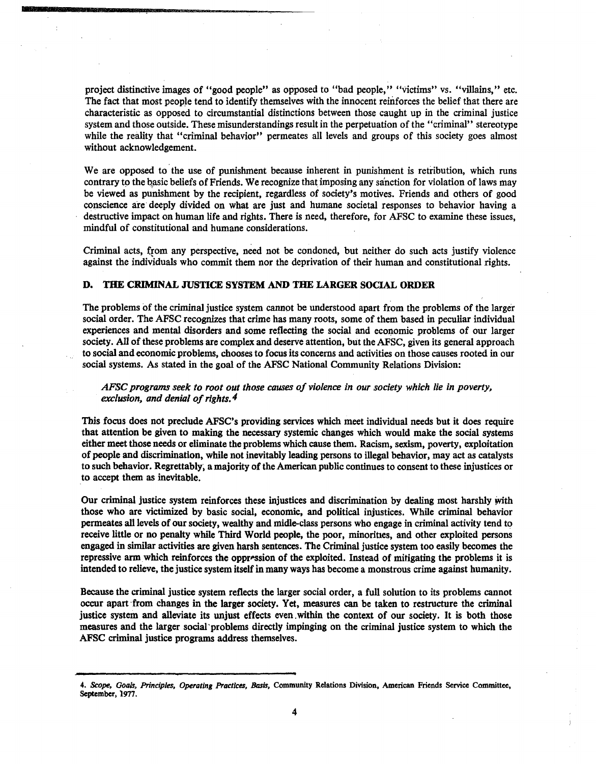project distinctive images of "good people" as opposed to "bad people," "victims" vs. "villains," etc. The fact that most people tend to identify themselves with the innocent reinforces the belief that there are characteristic as opposed to circumstantial distinctions between those caught up in the criminal justice system and those outside. These misunderstandings result in the perpetuation of the "criminal" stereotype while the reality that "criminal behavior" permeates all levels and groups of this society goes almost without acknowledgement.

We are opposed to the use of punishment because inherent in punishment is retribution, which runs contrary to the basic beliefs of Friends. We recognize that imposing any sanction for violation of laws may be viewed as punishment by the recipient, regardless of society's motives. Friends and others of good conscience are· deeply divided on what are just and humane societal responses to behavior having a destructive impact on human life and rights. There is need, therefore, for AFSC to examine these issues, mindful of constitutional and humane considerations.

Criminal acts, from any perspective, need not be condoned, but neither do such acts justify violence against the individuals who commit them nor the deprivation of their human and constitutional rights.

#### D. THE CRIMINAL JUSTICE SYSTEM AND THE LARGER SOCIAL ORDER

The problems of the criminal justice system cannot be understood apart from the problems of the larger social order. The AFSC recognizes that crime has many roots, some of them based in peculiar individual experiences and mental disorders and some reflecting the social and economic problems of our larger society. All of these problems are complex and deserve attention, but the AFSC, given its general approach to social and economic problems, chooses to focus its concerns and activities on those causes rooted in our social systems. As stated in the goal of the AFSC National Community Relations Division:

*AFSC programs seek to root out those causes of violence in our society which lie in poverty, exclusion, and denial of rights. 4* 

This focus does not preclude AFSC's providing services which meet individual needs but it does require that attention be given to making the necessary systemic changes which would make the social systems either meet those needs or eliminate the problems which cause them. Racism, sexism, poverty, exploitation of people and discrimination, while not inevitably leading persons to illegal behavior, may act as catalysts to such behavior. Regrettably~ a majority of the American public continues to consent to these injustices or to accept them as inevitable.

Our criminal justice system reinforces these injustices and discrimination by dealing most harshly with those who are victimized by basic social, economic, and political injustices. While criminal behavior permeates all levels of our society, wealthy and midle-class persons who engage in criminal activity tend to receive little or no penalty while Third World people, the poor, minorities, and other exploited persons engaged in similar activities are given harsh sentences. The Criminal justice system too easily becomes the repressive arm which reinforces the oppression of the exploited. Instead of mitigating the problems it is intended to relieve, the justice system itself in many ways has become a monstrous crime against humanity.

Because the criminal justice system reflects the larger social order, a full solution to its problems cannot occur apart ·from changes in the larger society. Yet, measures can be taken to restructure the criminal justice system and alleviate its unjust effects even. within the context of our society. It is both those measures and the larger social·problems directly impinging on the criminal justice system to which the AFSC criminal justice programs address themselves.

<sup>4.</sup> *Scope, Goals, Principles, Operating Practices, Basis,* Community Relations Division, American Friends Service Committee, September, 1977.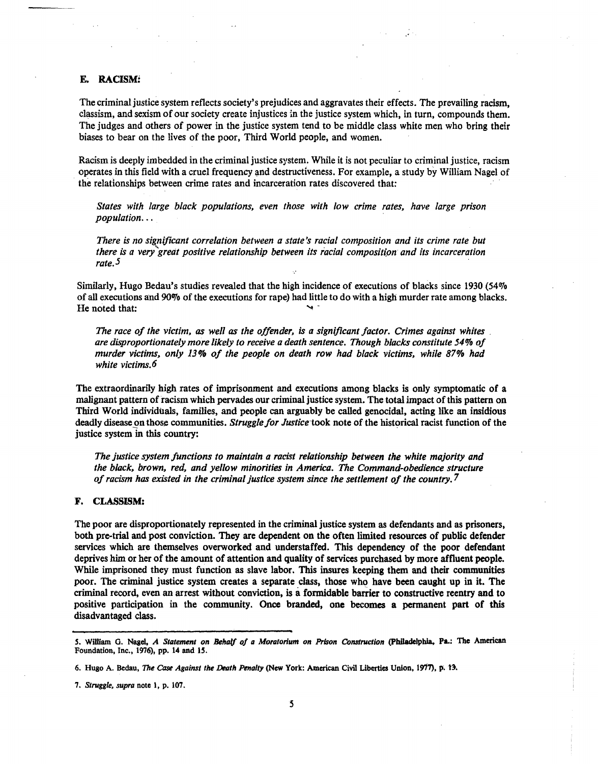#### E. RACISM!

The criminal justice system reflects society's prejudices and aggravates their effects. The prevailing racism, classism, and sexism of our society create injustices in the justice system which, in turn, compounds them. The judges and others of power in the justice system tend to be middle class white men who bring their biases to bear on the lives of the poor, Third World people, and women.

Racism is deeply imbedded in the criminal justice system. While it is not peculiar to criminal justice, racism operates in this field with a cruel frequency and destructiveness. For example, a study by William Nagel of the relationships between crime rates and incarceration rates discovered that:

*States with large black populations, even those with low crime rates, have large prison population...* 

*There is no significant correlation between a state's racial composition and its crime rate but there is a very great positive relationship between its ;acial composition and its incarceration rate.5* 

Similarly, Hugo Bedau's studies revealed that the high incidence of executions of blacks since 1930 ( $54\%$ of all executions and 90% of the executions for rape) had little to do with a high murder rate among blacks. He noted that:

*The race of the victim, as well as the offender, is a significant factor. Crimes against whites* . *are disproportionately more likely to receive a death sentence. Though blacks constitute 54% of murder victims, only 13% of the people on death row had black victims, while 87% had white victims. 6* ·

The extraordinarily high rates of imprisonment and executions among blacks is only symptomatic of a malignant pattern of racism which pervades our criminal justice system. The total impact of this pattern on Third World individuals, families, and people can arguably be called genocidal, acting like an insidious deadly disease on those communities. *Struggle for Justice* took note of the historical racist function of the justice system in this country:

*The justice system functions to maintain a racist relationship between the white majority and the black, brown, red, and yellow minorities in America. The Command-obedience structure of racism has existed in the criminal justice system since the settlement of the country. 7* 

#### F. CLASSISM:

The poor are disproportionately represented in the criminal justice system as defendants and as prisoners, both pre-trial and post conviction. They are dependent on the often limited resources of public defender services which are themselves overworked and understaffed. This dependency of the poor defendant deprives him or her of the amount of attention and quality of services purchased by more affluent people. While imprisoned they must function as slave labor. This insures keeping them and their communities poor. The criminal justice system creates a separate class, those who have been caught up in it. The criminal record, even an arrest without conviction, is a formidable barrier to constructive reentry and to positive participation in the community. Once branded, one becomes a permanent part of this disadvantaged class.

*S.* William G. Nagel, *A Statement on Behalf of a Moratorium on Prison Construction* (Philadelphia. Pa.: The American Foundation, Inc., 1976), pp. 14 and 1S.

<sup>6.</sup> Hugo A. Bedau, *The Case Against the Death Penalty* (New York: American Civil Liberties Union, 1977), p. 13.

<sup>7.</sup> *Struggle, supra* note 1, p. 107.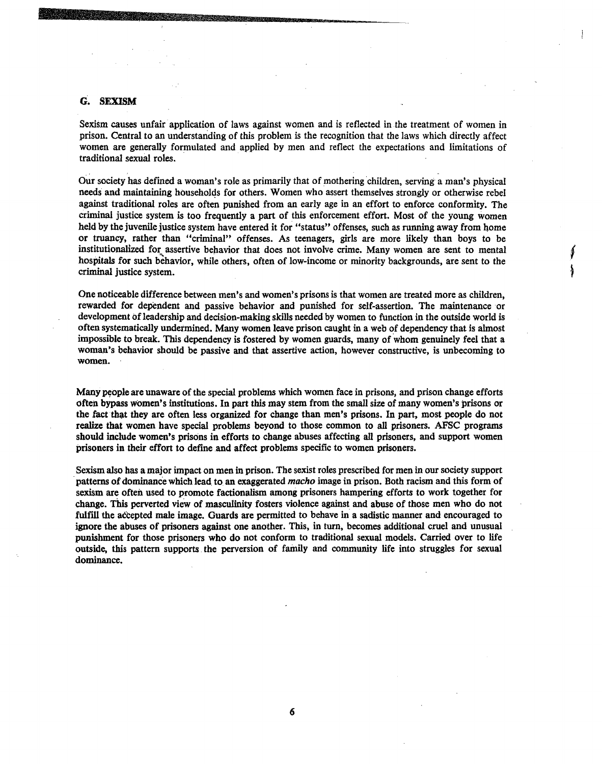#### G. SEXISM

Sexism causes unfair application of laws against women and is reflected in the treatment of women in prison. Central to an understanding of this problem is the recognition that the laws which directly affect women are generally formulated and applied by men and reflect the expectations and limitations of traditional sexual roles. ·

Our society has defined a woman's role as primarily that of mothering children, serving a man's physical needs and maintaining households for others. Women who assert themselves strongly or otherwise rebel against traditional roles are often punished from an early age in an effort to enforce conformity. The criminal justice system is too frequently a part of this enforcement effort. Most of the young women held by the juvenile justice system have entered it for "status" offenses, such as running away from home or truancy, rather than "criminal" offenses. *As* teenagers, girls are more likely than boys to be institutionalized for assertive behavior that does not involve crime. Many women are sent to mental hospitals for such behavior, while others, often of low-income or minority backgrounds, are sent to the criminal justice system.

One noticeable difference between men's and women's prisons is that women are treated more as children, rewarded for dependent and passive behavior and punished for self-assertion. The maintenance or development of leadership and decision-making skills needed by women to function in the outside world is often systematically undermined. Many women leave prison caught in a web of dependency that is almost impossible to break. This dependency is fostered by women guards, many of whom genuinely feel that a woman's behavior should be passive and that assertive action, however constructive, is unbecoming to women.

Many people are unaware of the special problems which women face in prisons, and prison change efforts often bypass women's institutions. In part this may stem from the small size of many women's prisons or the fact that they are often less organized for change than men's prisons. In part, most people do not realize that women have special problems beyond to those common to all prisoners. AFSC programs should include women's prisons in efforts to change abuses affecting all prisoners, and support women prisoners in their effort to define and affect problems specific to women prisoners.

Sexism also has a major impact on men in prison. The sexist roles prescribed for men in our society support patterns of dominance which lead to an exaggerated *macho* image in prison. Both racism and this form of sexism are often used to promote factionalism among prisoners hampering efforts to work together for change. This perverted view of masculinity fosters violence against and abuse of those men who do not fulfill the accepted male image. Guards are permitted to behave in a sadistic manner and encouraged to ignore the abuses of prisoners against one another. This, in tum, becomes additional cruel and unusual punishment for those prisoners who do not conform to traditional sexual models. Carried over to life outside, this pattern supports the perversion of fainily and community life into struggles for sexual dominance.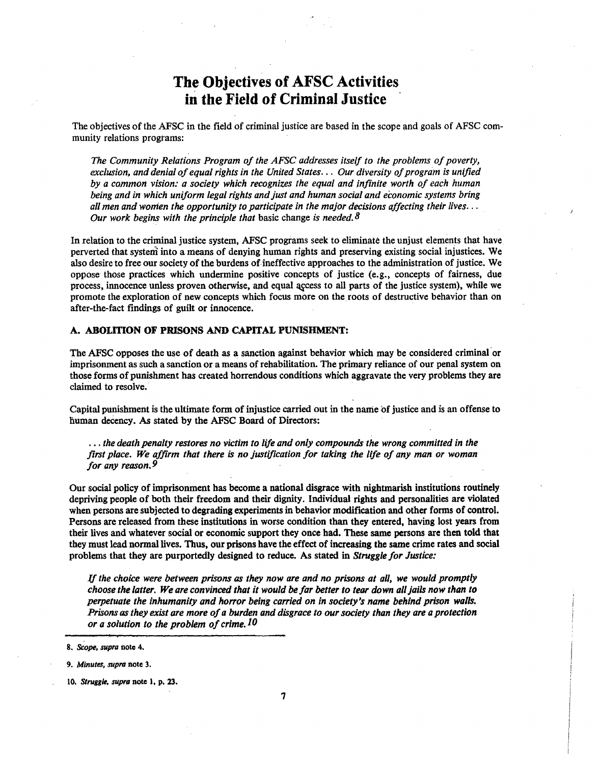# The Objectives of AFSC Activities in the Field of Criminal Justice

The objectives of the AFSC in the field of criminal justice are based in the scope and goals of AFSC community relations programs:

*The Community Relations Program of the AFSC addresses itself to the problems of poverty, exclusion, and denial of equal rights in the United States.* . . *Our diversity of program is unified by a common vision: a society which recognizes the equal and infinite worth of each human being and in which uniform legal rights and just and human social and economic systems bring all men and women the opportunity to participate in the major decisions affecting their lives .* .. *Our work begins with the principle that* basic change *is needed. 8* 

In relation to the criminal justice system, AFSC programs seek to eliminate the unjust elements that have perverted that systeni into a means of denying human rights and preserving existing social injustices. We also desire to free our society of the burdens of ineffective approaches to the administration of justice. We oppose those practices which undermine positive concepts of justice (e.g., concepts of fairness, due process, innocence unless proven otherwise, and equal access to all parts of the justice system), while we promote the exploration of new concepts which focus more on the roots of destructive behavior than on after-the-fact findings of guilt or innocence.

#### A. ABOLITION OF PRISONS AND CAPITAL PUNISHMENT:

The AFSC opposes the use of death as a sanction against behavior which may be considered criminal· or imprisonment as such a sanction or a means of rehabilitation. The primary reliance of our penal system on those forms of punishment has created horrendous conditions which aggravate the very problems they are claimed to resolve.

Capital punishment is the ultimate form of injustice carried out in the name of justice and is an offense to human decency. As stated by the AFSC Board of Directors:

... *the death penalty restores no victim to life and only compounds the wrong committed in the first place. We affirm that there is no justification for taking the life of any man or woman for any reason.9* 

Our social policy of imprisonment has become a national disgrace with nightmarish institutions routinely depriving people of both their freedom and their dignity. Individual rights and personalities are violated when persons are subjected to degrading experiments in behavior modification and other forms of control. Persons are released from these institutions in worse condition than they entered, having lost years from their lives and whatever social or economic support they once had. These same persons are then told that they must lead normal lives. Thus, our prisons have the effect of increasing the same crime rates and social problems that they are purportedly designed to reduce. As stated in *Struggle for Justice:* 

lf *the choice were between prisons as they now are and no prisons at all, we would promptly choose the latter. We are convinced that it would be jar better to tear down all jails now than to perpetuate the inhumanity and horror being carried on in society's name behind prison walls. Prisons as they exist are more of a burden and disgrace to our society than they are a protection or a solution to the problem of crime.*  $10$ 

<sup>8.</sup> *Scope, supra* note 4.

<sup>9.</sup> *Minutes, supra* note 3.

<sup>10.</sup> *Strugglt, supra* note 1, p. 23.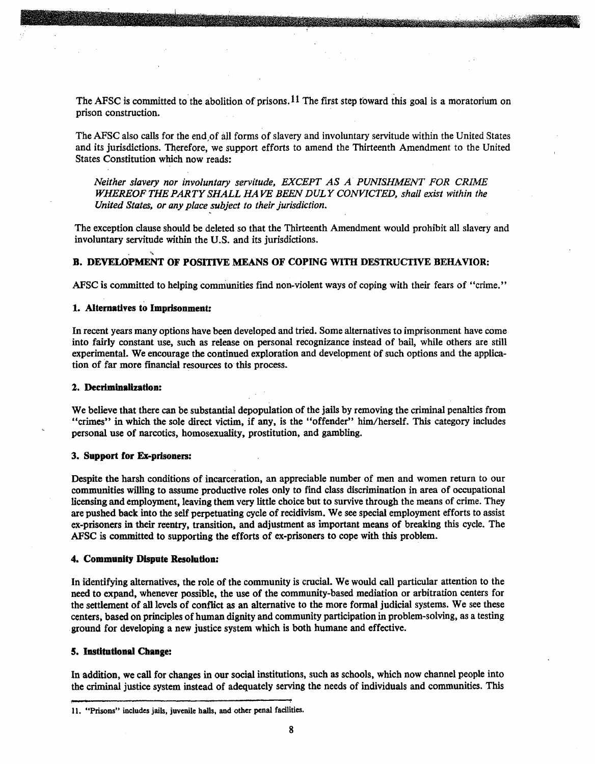The AFSC is committed to the abolition of prisons.<sup>11</sup> The first step toward this goal is a moratorium on prison construction.

The AFSC also calls for the end of all forms of slavery and involuntary servitude within the United States and its jurisdictions. Therefore, we support efforts to amend the Thirteenth Amendment to the United States Constitution which now reads:

*Neither slavery nor involuntary servitude, EXCEPT AS A PUNISHMENT FOR CRIME WHEREOF THE PARTY SHALL HAVE BEEN DULY CONVICTED, shall exist within the United States, or any place subject to their jurisdiction.* 

The exception clause should be deleted so that the Thirteenth Amendment would prohibit all slavery and involuntary servitude within the U.S. and its jurisdictions .

#### B. DEVELOPMENT OF POSITIVE MEANS OF COPING WITH DESTRUCTIVE BEHAVIOR:

AFSC is committed to helping communities fmd non-violent ways of coping with their fears of "crime."

#### 1. Alternatives to Imprisonment:

.....

In recent years many options have been developed and tried. Some alternatives to imprisonment have come into fairly constant use, such as release on personal recognizance instead of bail, while others are still experimental. We encourage the continued exploration and development of such options and the application of far more financial resources to this process.

#### 2. Decriminalization:

We believe that there can be substantial depopulation of the jails by removing the criminal penalties from "crimes" in which the sole direct victim, if any, is the "offender" him/herself. This category includes personal use of narcotics, homosexuality, prostitution, and gambling.

#### 3. Support for Ex-prisoners:

Despite the harsh conditions of incarceration, an appreciable number of men and women return to our communities willing to assume productive roles only to fmd class discrimination in area of occupational licensing and employment, leaving them very little choice but to survive through the means of crime. They are pushed back into the self perpetuating cycle of recidivism. We see special employment efforts to assist ex-prisoners in their reentry, transition, and adjustment as important means of breaking this cycle. The AFSC is committed to supporting the efforts of ex-prisoners to cope with this problem.

#### 4. Community Dispute Resolution:

In identifying alternatives, the role of the community is crucial. We would call particular attention to the need to expand, whenever possible, the use of the community-based mediation or arbitration centers for the settlement of all levels of conflict as an alternative to the more formal judicial systems. We see these centers, based on principles of human dignity and community participation in problem-solving, as a testing ground for developing a new justice system which is both humane and effective.

#### 5. Institutional Change:

In addition, we call for changes in our social institutions, such as schools, which now channel people into the criminal justice system instead of adequately serving the needs of individuals and communities. This

<sup>11. &</sup>quot;Prisons" includes jails, juvenile halls, and other penal facilities.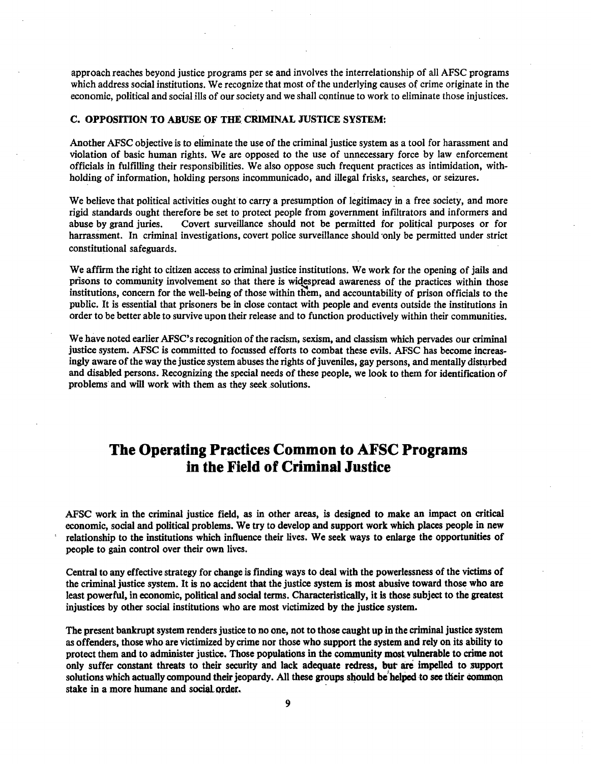approach reaches beyond justice programs per se and involves the interrelationship of all AFSC programs which address social institutions. We recognize that most of the underlying causes of crime originate in the economic, political and social ills of our society and we shall continue to work to eliminate those injustices.

#### C. OPPOSITION TO ABUSE OF THE CRIMINAL JUSTICE SYSTEM:

Another AFSC objective is to eliminate the use of the criminal justice system as a tool for harassment and violation of basic human rights. We are opposed to the use of unnecessary force by law enforcement officials in fulfilling their responsibilities. We also oppose such frequent practices as intimidation, withholding of information, holding persons incommunicado, and illegal frisks, searches, or seizures.

We believe that political activities ought to carry a presumption of legitimacy in a free society, and more rigid standards ought therefore be set to protect people from government infiltrators and informers and abuse by grand juries. Covert surveillance should not be permitted for politjcal purposes or for harrassment. In criminal investigations, covert police surveillance should only be permitted under strict constitutional safeguards.

We affirm the right to citizen access to criminal justice institutions. We work for the opening of jails and prisons to community involvement so that there is widespread awareness of the practices within those institutions, concern for the well-being of those within them, and accountability of prison officials to the public. It is essential that prisoners be in close contact with people and events outside the institutions in order to be better able to survive upon their release and to function productively within their communities.

We have noted earlier AFSC's recognition of the racism, sexism, and classism which pervades our criminal justice system. AFSC is committed to focussed efforts to combat these evils. AFSC has become increasingly aware of the way the justice system abuses the rights of juveniles, gay persons, and mentally disturbed and disabled persons. Recognizing the special needs of these people, we look to them for identification of problems and will work with them as they seek solutions.

# **The Operating Practices Common to AFSC Programs in the Field of Criminal Justice**

AFSC work in the criminal justice field, as in other areas, is designed to make an impact on critical economic, social and political problems. We try to develop and support work which places people in new relationship to the institutions which influence their lives. We seek ways to enlarge the opportunities of people to gain control over their own lives.

Central to any effective strategy for change is finding ways to deal with the powerlessness of the victims of the criminal justice system. It is no accident that the justice system is most abusive toward those who are least powerful, in economic, political and social terms. Characteristically, it is those subject to the greatest injustices by other social institutions who are most victimized by the justice system.

The present bankrupt system renders justice to no one, not to those caught up in the criminal justice system as offenders, those who are victimized by crime nor those who support the system and rely on its ability to protect them and to administer justice. Those populations in the community most vulnerable to crime not only suffer constant threats to their security and lack adequate redress, but are impelled to support solutions which actually compound their jeopardy. All these groups should be helped to see their common stake in a more humane and social order.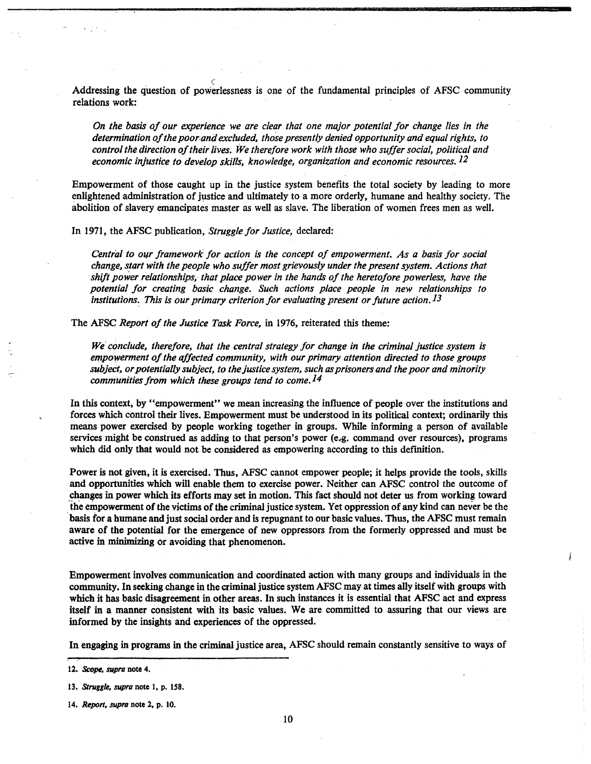Addressing the question of powerlessness is one of the fundamental principles of AFSC community relations work:

*On the basis of our experience we are clear that one major potential for change lies in the determination of the poor. and excluded, those presently denied opportunity and equal rights, to control the direction of their lives. We therefore work with those who suffer social, political and economic injustice to develop skills, knowledge, organization and economic resources.12* 

Empowerment of those caught up in the justice system benefits the total society by leading to more enlightened administration of justice and ultimately to a more orderly, humane and healthy society. The abolition of slavery emancipates master as well as slave. The liberation of women frees *men* as well.

In 1971, the AFSC publication, *Struggle for Justice,* declared:

*Central to 011r framework for action is the concept of empowerment. As a basis for social change, start with the people who suffer most grievously under the present system. Actions that shift power relationships, that place power in the hands of the heretofore powerless, have the potential for creating basic change. Such actions place people in new relationships to institutions: This is our primary criterion for evaluating present or future action.13* 

The AFSC *Report of the Justice Task Force,* in 1976, reiterated this theme:

*We conclude, therefore, that the central strategy for change in the criminal justice system is empowerment of the affected community, with our primary attention directed to those groups subjeCt, or potentially subject, to the justice system, such as prisoners and the poor and minority communities from which these groups tend to come.14* 

In this context, by "empowerment" we mean increasing the influence of people over the institutions and forces which control their lives. Empowerment must be understood in its political context; ordinarily this means power exercised by people working together in groups. While informing a person of available services might be construed as adding to that person's power (e.g. command over resources), programs which did only that would not be considered as empowering according to this definition.

Power is not given, it is exercised. Thus, AFSC cannot empower people; it helps provide the tools, skills and opportunities which will enable them to exercise power. Neither can AFSC control the outcome of changes in power which its efforts may set in motion. This fact should not deter us from working toward .the empowerment of the victims of the criminal justice system. Yet oppression of any kind can never be the basis for a humane and just social order and is repugnant to our basic values. Thus, the AFSC must remain aware of the potential for the emergence of new oppressors from the formerly oppressed and must be active in minimizing or avoiding that phenomenon.

Empowerment involves communication and coordinated action with many groups and individuals in the community. In seeking change in the criminal justice system AFSC may at times ally itself with groups with which it has basic disagreement in other areas. In such instances it is essential that AFSC act and express itself in a manner consistent with its basic values. We are committed to assuring that our views are informed by the insights and experiences of the oppressed.

In engaging in programs in the criminal justice area, AFSC should remain constantly sensitive to ways of

<sup>12.</sup> *Scope, supra* note 4.

<sup>13.</sup> *Struggle, supra* note 1, p. 158.

<sup>14.</sup> *Report, supra* note 2, p. 10.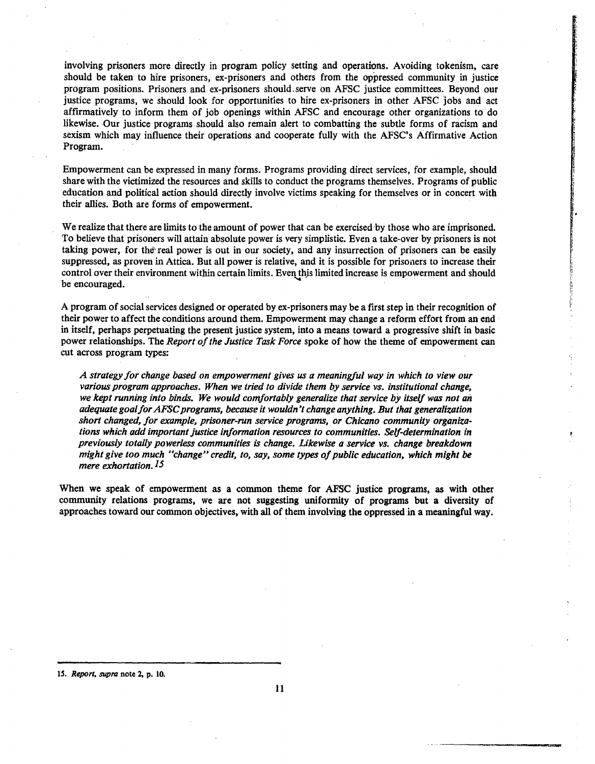involving prisoners more directly in program policy setting and operations. Avoiding tokenism, care should be taken to hire prisoners, ex-prisoners and others from the oppressed community in justice program positions. Prisoners and ex-prisoners should. serve on AFSC justice committees. Beyond our justice programs, we should look for opportunities to hire ex-prisoners in other AFSC jobs and act affirmatively to inform them of job openings within AFSC and encourage other organizations to· do likewise. Our justice programs should also remain alert to combatting the subtle forms of racism and sexism which may influence their operations and cooperate fully with the AFSC's Affirmative Action Program.

Empowerment can be expressed in many forms. Programs providing direct services, for example, should share with the victimized the resources and skills to conduct the programs themselves. Programs of public education and political action should directly involve victims speaking for themselves or in concert with their allies. Both are forms of empowerment.

We realize that there are limits to the amount of power that can be exercised by those who are imprisoned. To believe that prisoners will attain absolute power is very simplistic. Even a take-over by prisoners is not taking power, for the'real power is out in our society, and any insurrection of prisoners can be easily suppressed, as proven in Attica. But all power is relative, and it is possible for prisoners to increase their control over their environment within certain limits. Even this limited increase is empowerment and should be encouraged.

~ !1

A program of social services designed or operated by ex-prisoners may be a first step in their recognition of their power to affect the conditions around them. Empowerment may change a reform effort from an end in itself, perhaps perpetuating the present justice system, into a means toward a progressive shift in basic power relationships. The *Report of the Justice Task Force* spoke of how the theme of empowerment can cut across program types:

*A strategy for change based on empowerment gives us a meaningful way in which to view our various program approaches. When we tried to divide them by service vs. institutional change, we kept running into binds. We would comfortably generalize that service by itself was not an adequate goa/for AFSC programs, because it wouldn't change anything. But that generalization short changed, for example, prisoner-run service programs, or Chicano community organizations which add important justice information resources to communities. Self-determination in previously totally powerless communities is change. Likewise a service vs. change breakdown might give too much "change" credit, to, say, some types of public education, which might be mere exhortation.l5* 

When we speak of empowerment as a common theme for AFSC justice programs, as with other community relations programs, we are not suggesting uniformity of programs but a diversity of approaches toward our common objectives, with all of them involving the oppressed in a meaningful way.

lS. *Report. supra* note 2, p. 10.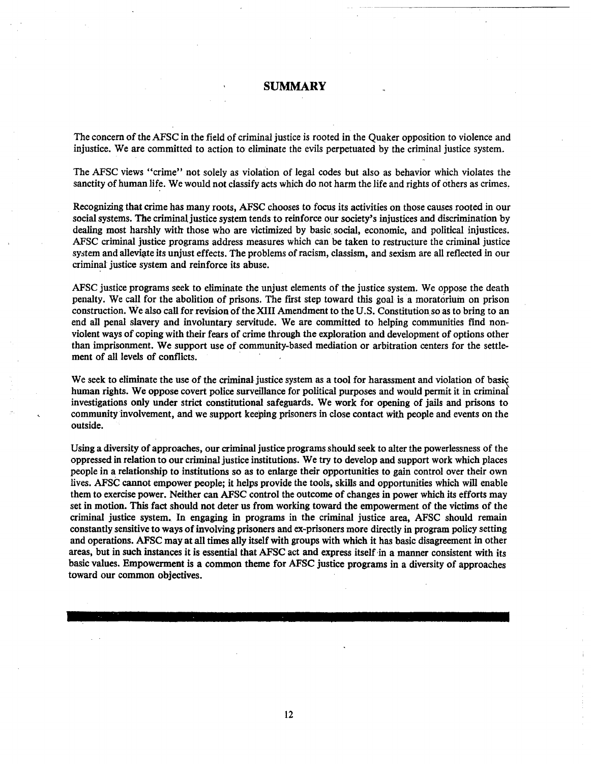### SUMMARY

The concern of the AFSC in the field of criminal justice is rooted in the Quaker opposition to violence and injustice. We are committed to action to eliminate the evils perpetuated by the criminal justice system.

The AFSC views "crime" not solely as violation of legal codes but also as behavior which violates the sanctity of human life. We would not ciassify acts which do not harm the life and rights of others as crimes,

Recognizing that crime has many roots, AFSC chooses to focus its activities on those causes rooted in our social systems. The criminal justice system tends to reinforce our society's injustices and discrimination by dealing most harshly with those who are victimized by basic social, economic, and political injustices. AFSC criminal justice programs address measures which can be taken to restructure the criminal justice system and alleviate its unjust effects. The problems of racism, classism, and sexism are all reflected in our criminal justice system and reinforce its abuse.

AFSC justice programs seek to eliminate the unjust elements of the justice system. We oppose the death penalty. We call for the abolition of prisons. The first step toward this goal is a moratorium on prison construction. We also call for revision of the XIII Amendment to the U.S. Constitution so as to bring to an end all penal slavery and involuntary servitude. We are committed to helping communities find nonviolent ways of coping with their fears of crime through the exploration and development of options other than imprisonment. We support use of community-based mediation or arbitration centers for the settlement of all levels of conflicts.

We seek to eliminate the use of the criminal justice system as a tool for harassment and violation of basic human rights. We oppose covert police surveillance for political purposes and would permit it in criminal investigations only under strict constitutional safeguards. We work for opening of jails and prisons to community involvement, and we support keeping prisoners in close contact with people and events on the outside.

Using a diversity of approaches, our criminal justice programs should seek to alter the powerlessness of the oppressed in relation to our criminal justice institutions. We try to develop and support work which places people in a relationship to institutions so as to enlarge their opportunities to gain control over their own lives. AFSC cannot empower people; it helps provide the tools, skills and opportunities which will enable them to exercise power. Neither can AFSC control the outcome of changes in power which its efforts may set in motion. This fact should not deter us from working toward the empowerment of the victims of the criminal justice system. In engaging in programs in the criminal justice area, AFSC should remain constantly sensitive to ways of involving prisoners and ex-prisoners more directly in program policy setting and operations. AFSC may at all times ally itself with groups with which it has basic disagreement in other areas, but in such instances it is essential that AFSC act and express itself ·in a manner consistent with its basic values. Empowerment is a common theme for AFSC justice programs in a diversity of approaches toward our common objectives.